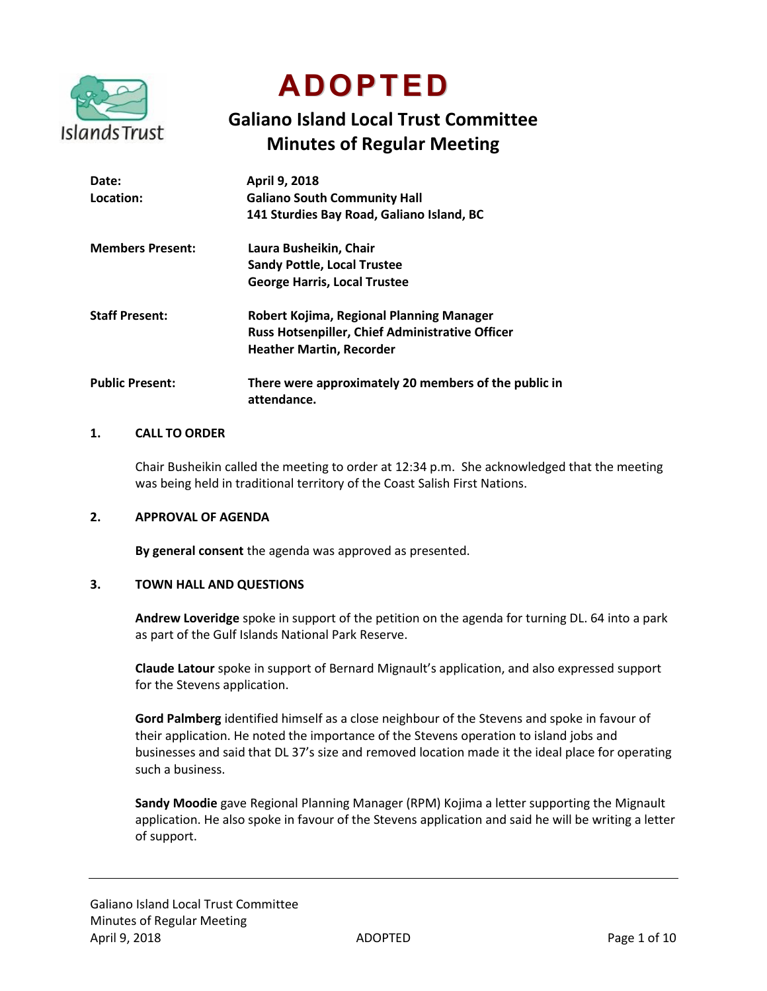

**ADOPTED**

# **Galiano Island Local Trust Committee Minutes of Regular Meeting**

| Date:                   | April 9, 2018                                                       |
|-------------------------|---------------------------------------------------------------------|
| Location:               | <b>Galiano South Community Hall</b>                                 |
|                         | 141 Sturdies Bay Road, Galiano Island, BC                           |
| <b>Members Present:</b> | Laura Busheikin, Chair                                              |
|                         | <b>Sandy Pottle, Local Trustee</b>                                  |
|                         | <b>George Harris, Local Trustee</b>                                 |
| <b>Staff Present:</b>   | Robert Kojima, Regional Planning Manager                            |
|                         | Russ Hotsenpiller, Chief Administrative Officer                     |
|                         | <b>Heather Martin, Recorder</b>                                     |
| <b>Public Present:</b>  | There were approximately 20 members of the public in<br>attendance. |

#### **1. CALL TO ORDER**

Chair Busheikin called the meeting to order at 12:34 p.m. She acknowledged that the meeting was being held in traditional territory of the Coast Salish First Nations.

#### **2. APPROVAL OF AGENDA**

**By general consent** the agenda was approved as presented.

#### **3. TOWN HALL AND QUESTIONS**

**Andrew Loveridge** spoke in support of the petition on the agenda for turning DL. 64 into a park as part of the Gulf Islands National Park Reserve.

**Claude Latour** spoke in support of Bernard Mignault's application, and also expressed support for the Stevens application.

**Gord Palmberg** identified himself as a close neighbour of the Stevens and spoke in favour of their application. He noted the importance of the Stevens operation to island jobs and businesses and said that DL 37's size and removed location made it the ideal place for operating such a business.

**Sandy Moodie** gave Regional Planning Manager (RPM) Kojima a letter supporting the Mignault application. He also spoke in favour of the Stevens application and said he will be writing a letter of support.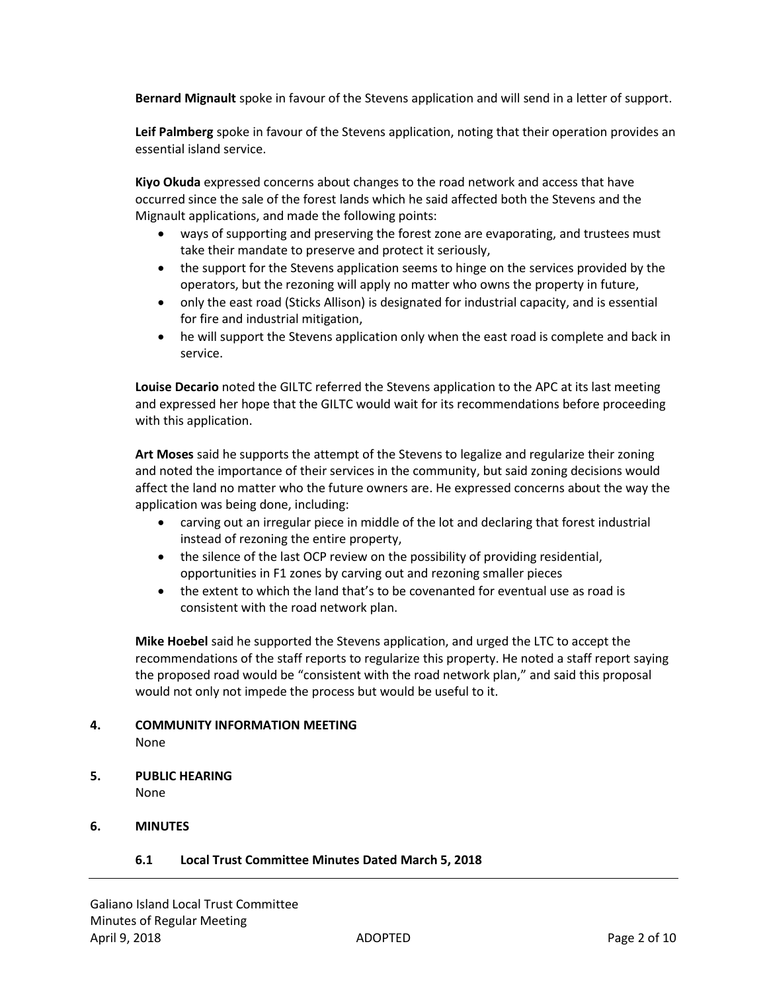**Bernard Mignault** spoke in favour of the Stevens application and will send in a letter of support.

**Leif Palmberg** spoke in favour of the Stevens application, noting that their operation provides an essential island service.

**Kiyo Okuda** expressed concerns about changes to the road network and access that have occurred since the sale of the forest lands which he said affected both the Stevens and the Mignault applications, and made the following points:

- ways of supporting and preserving the forest zone are evaporating, and trustees must take their mandate to preserve and protect it seriously,
- the support for the Stevens application seems to hinge on the services provided by the operators, but the rezoning will apply no matter who owns the property in future,
- only the east road (Sticks Allison) is designated for industrial capacity, and is essential for fire and industrial mitigation,
- he will support the Stevens application only when the east road is complete and back in service.

**Louise Decario** noted the GILTC referred the Stevens application to the APC at its last meeting and expressed her hope that the GILTC would wait for its recommendations before proceeding with this application.

**Art Moses** said he supports the attempt of the Stevens to legalize and regularize their zoning and noted the importance of their services in the community, but said zoning decisions would affect the land no matter who the future owners are. He expressed concerns about the way the application was being done, including:

- carving out an irregular piece in middle of the lot and declaring that forest industrial instead of rezoning the entire property,
- the silence of the last OCP review on the possibility of providing residential, opportunities in F1 zones by carving out and rezoning smaller pieces
- the extent to which the land that's to be covenanted for eventual use as road is consistent with the road network plan.

**Mike Hoebel** said he supported the Stevens application, and urged the LTC to accept the recommendations of the staff reports to regularize this property. He noted a staff report saying the proposed road would be "consistent with the road network plan," and said this proposal would not only not impede the process but would be useful to it.

#### **4. COMMUNITY INFORMATION MEETING** None

**5. PUBLIC HEARING**

None

# **6. MINUTES**

# **6.1 Local Trust Committee Minutes Dated March 5, 2018**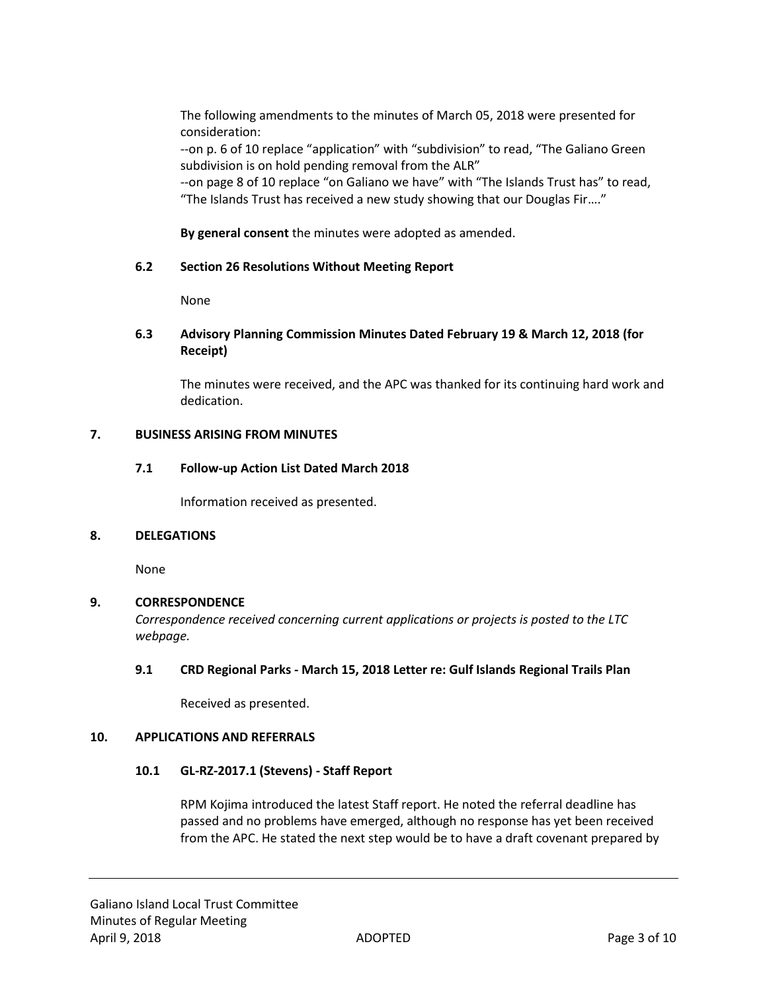The following amendments to the minutes of March 05, 2018 were presented for consideration:

--on p. 6 of 10 replace "application" with "subdivision" to read, "The Galiano Green subdivision is on hold pending removal from the ALR"

--on page 8 of 10 replace "on Galiano we have" with "The Islands Trust has" to read, "The Islands Trust has received a new study showing that our Douglas Fir…."

**By general consent** the minutes were adopted as amended.

# **6.2 Section 26 Resolutions Without Meeting Report**

None

# **6.3 Advisory Planning Commission Minutes Dated February 19 & March 12, 2018 (for Receipt)**

The minutes were received, and the APC was thanked for its continuing hard work and dedication.

# **7. BUSINESS ARISING FROM MINUTES**

# **7.1 Follow-up Action List Dated March 2018**

Information received as presented.

#### **8. DELEGATIONS**

None

# **9. CORRESPONDENCE**

*Correspondence received concerning current applications or projects is posted to the LTC webpage.*

# **9.1 CRD Regional Parks - March 15, 2018 Letter re: Gulf Islands Regional Trails Plan**

Received as presented.

#### **10. APPLICATIONS AND REFERRALS**

# **10.1 GL-RZ-2017.1 (Stevens) - Staff Report**

RPM Kojima introduced the latest Staff report. He noted the referral deadline has passed and no problems have emerged, although no response has yet been received from the APC. He stated the next step would be to have a draft covenant prepared by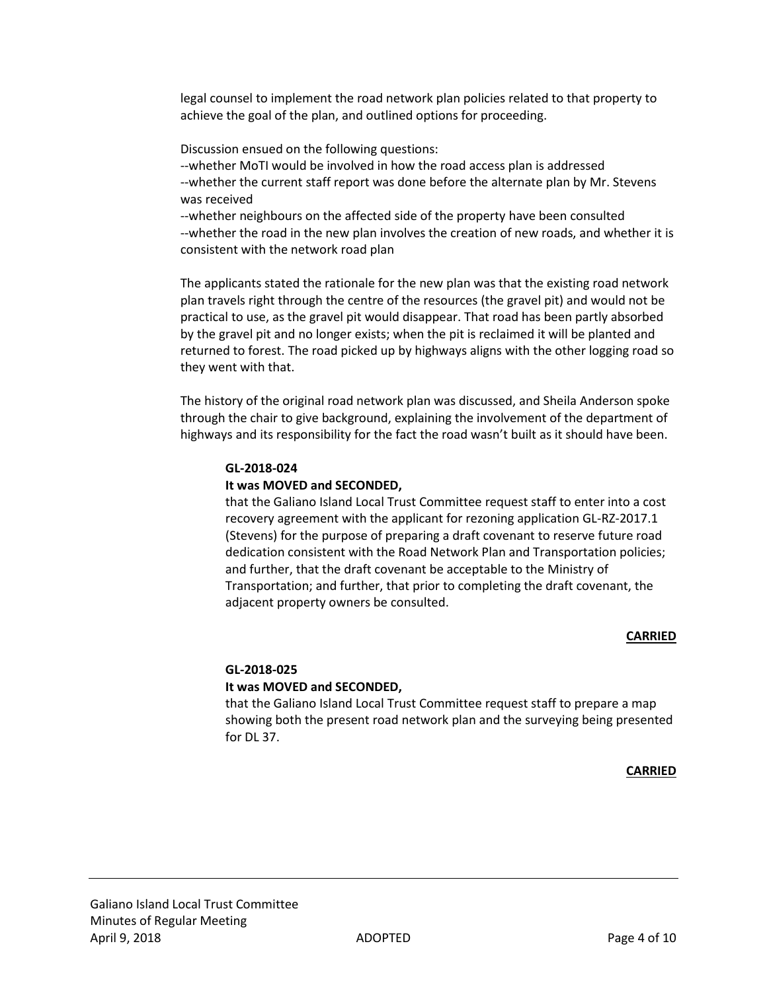legal counsel to implement the road network plan policies related to that property to achieve the goal of the plan, and outlined options for proceeding.

Discussion ensued on the following questions:

--whether MoTI would be involved in how the road access plan is addressed --whether the current staff report was done before the alternate plan by Mr. Stevens was received

--whether neighbours on the affected side of the property have been consulted --whether the road in the new plan involves the creation of new roads, and whether it is consistent with the network road plan

The applicants stated the rationale for the new plan was that the existing road network plan travels right through the centre of the resources (the gravel pit) and would not be practical to use, as the gravel pit would disappear. That road has been partly absorbed by the gravel pit and no longer exists; when the pit is reclaimed it will be planted and returned to forest. The road picked up by highways aligns with the other logging road so they went with that.

The history of the original road network plan was discussed, and Sheila Anderson spoke through the chair to give background, explaining the involvement of the department of highways and its responsibility for the fact the road wasn't built as it should have been.

#### **GL-2018-024**

#### **It was MOVED and SECONDED,**

that the Galiano Island Local Trust Committee request staff to enter into a cost recovery agreement with the applicant for rezoning application GL-RZ-2017.1 (Stevens) for the purpose of preparing a draft covenant to reserve future road dedication consistent with the Road Network Plan and Transportation policies; and further, that the draft covenant be acceptable to the Ministry of Transportation; and further, that prior to completing the draft covenant, the adjacent property owners be consulted.

#### **CARRIED**

# **GL-2018-025 It was MOVED and SECONDED,**

that the Galiano Island Local Trust Committee request staff to prepare a map showing both the present road network plan and the surveying being presented for DL 37.

#### **CARRIED**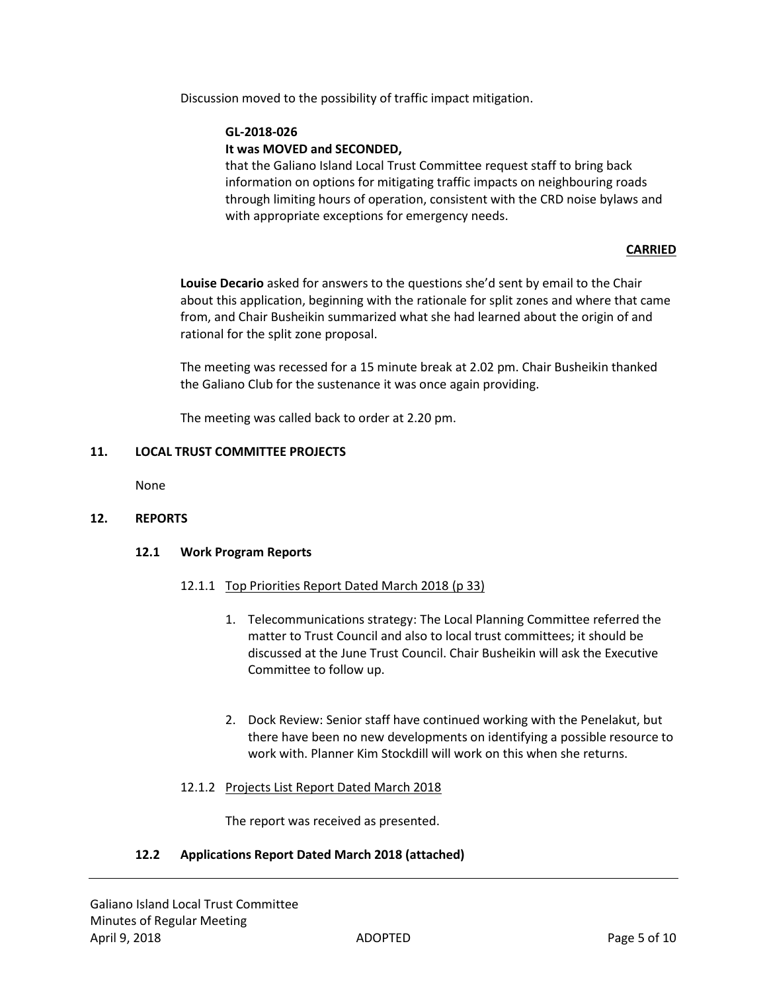Discussion moved to the possibility of traffic impact mitigation.

#### **GL-2018-026**

#### **It was MOVED and SECONDED,**

that the Galiano Island Local Trust Committee request staff to bring back information on options for mitigating traffic impacts on neighbouring roads through limiting hours of operation, consistent with the CRD noise bylaws and with appropriate exceptions for emergency needs.

#### **CARRIED**

**Louise Decario** asked for answers to the questions she'd sent by email to the Chair about this application, beginning with the rationale for split zones and where that came from, and Chair Busheikin summarized what she had learned about the origin of and rational for the split zone proposal.

The meeting was recessed for a 15 minute break at 2.02 pm. Chair Busheikin thanked the Galiano Club for the sustenance it was once again providing.

The meeting was called back to order at 2.20 pm.

#### **11. LOCAL TRUST COMMITTEE PROJECTS**

None

#### **12. REPORTS**

#### **12.1 Work Program Reports**

#### 12.1.1 Top Priorities Report Dated March 2018 (p 33)

- 1. Telecommunications strategy: The Local Planning Committee referred the matter to Trust Council and also to local trust committees; it should be discussed at the June Trust Council. Chair Busheikin will ask the Executive Committee to follow up.
- 2. Dock Review: Senior staff have continued working with the Penelakut, but there have been no new developments on identifying a possible resource to work with. Planner Kim Stockdill will work on this when she returns.

#### 12.1.2 Projects List Report Dated March 2018

The report was received as presented.

#### **12.2 Applications Report Dated March 2018 (attached)**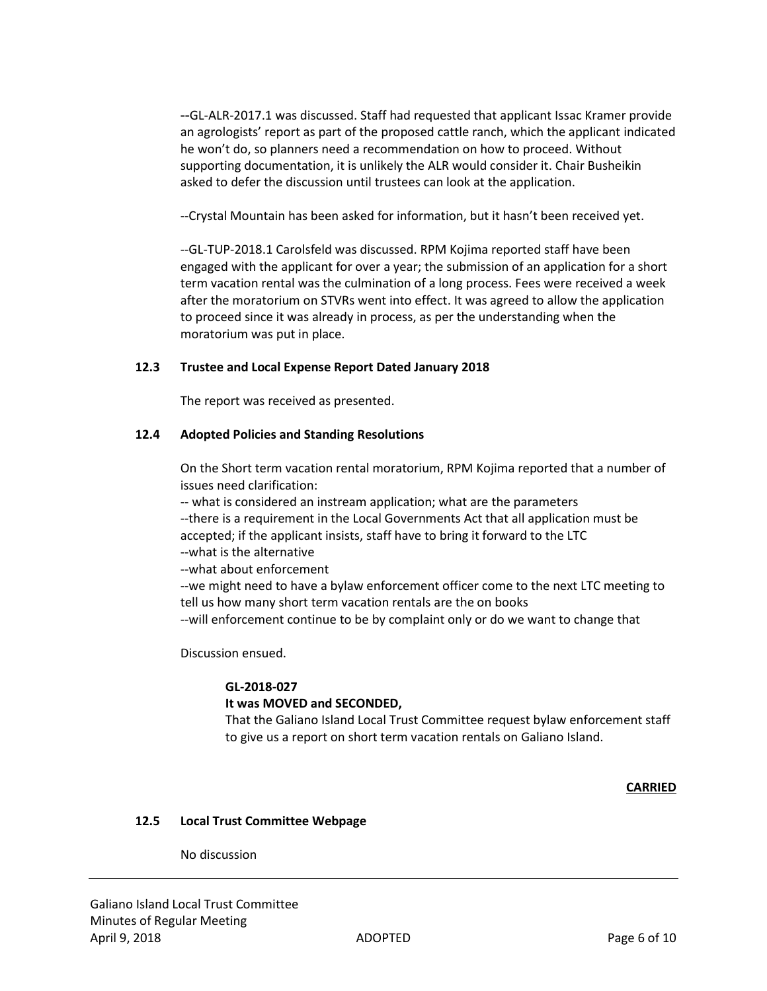--GL-ALR-2017.1 was discussed. Staff had requested that applicant Issac Kramer provide an agrologists' report as part of the proposed cattle ranch, which the applicant indicated he won't do, so planners need a recommendation on how to proceed. Without supporting documentation, it is unlikely the ALR would consider it. Chair Busheikin asked to defer the discussion until trustees can look at the application.

--Crystal Mountain has been asked for information, but it hasn't been received yet.

--GL-TUP-2018.1 Carolsfeld was discussed. RPM Kojima reported staff have been engaged with the applicant for over a year; the submission of an application for a short term vacation rental was the culmination of a long process. Fees were received a week after the moratorium on STVRs went into effect. It was agreed to allow the application to proceed since it was already in process, as per the understanding when the moratorium was put in place.

# **12.3 Trustee and Local Expense Report Dated January 2018**

The report was received as presented.

# **12.4 Adopted Policies and Standing Resolutions**

On the Short term vacation rental moratorium, RPM Kojima reported that a number of issues need clarification:

-- what is considered an instream application; what are the parameters --there is a requirement in the Local Governments Act that all application must be accepted; if the applicant insists, staff have to bring it forward to the LTC --what is the alternative

--what about enforcement

--we might need to have a bylaw enforcement officer come to the next LTC meeting to tell us how many short term vacation rentals are the on books

--will enforcement continue to be by complaint only or do we want to change that

Discussion ensued.

# **GL-2018-027**

# **It was MOVED and SECONDED,**

That the Galiano Island Local Trust Committee request bylaw enforcement staff to give us a report on short term vacation rentals on Galiano Island.

#### **CARRIED**

# **12.5 Local Trust Committee Webpage**

No discussion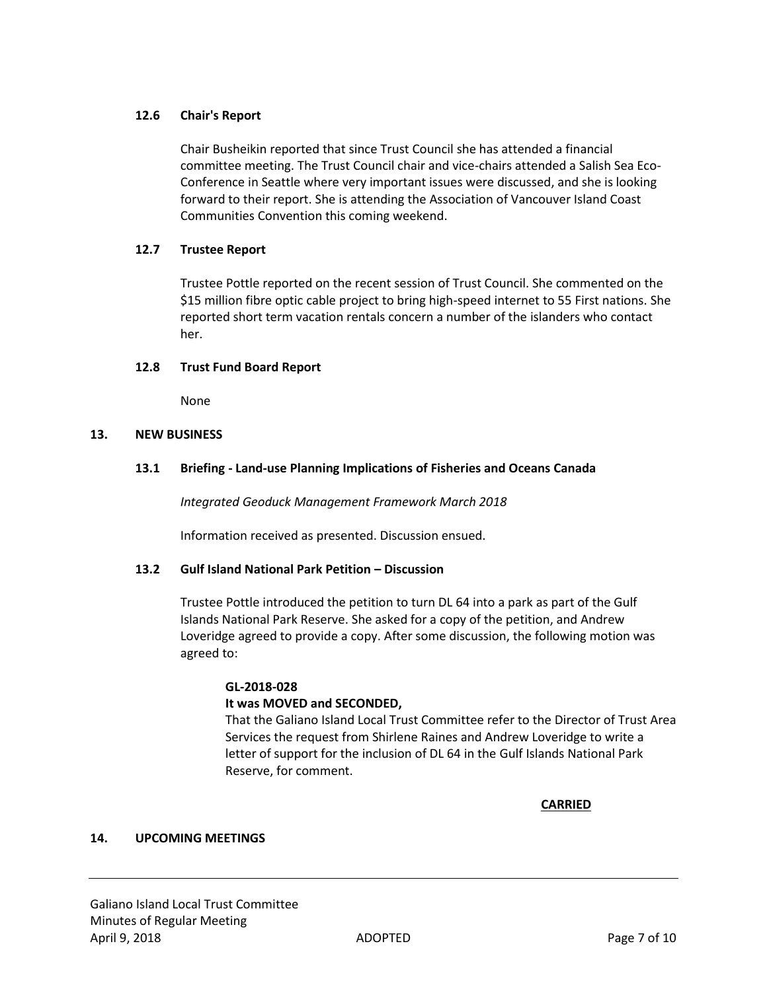# **12.6 Chair's Report**

Chair Busheikin reported that since Trust Council she has attended a financial committee meeting. The Trust Council chair and vice-chairs attended a Salish Sea Eco-Conference in Seattle where very important issues were discussed, and she is looking forward to their report. She is attending the Association of Vancouver Island Coast Communities Convention this coming weekend.

# **12.7 Trustee Report**

Trustee Pottle reported on the recent session of Trust Council. She commented on the \$15 million fibre optic cable project to bring high-speed internet to 55 First nations. She reported short term vacation rentals concern a number of the islanders who contact her.

# **12.8 Trust Fund Board Report**

None

# **13. NEW BUSINESS**

# **13.1 Briefing - Land-use Planning Implications of Fisheries and Oceans Canada**

*Integrated Geoduck Management Framework March 2018*

Information received as presented. Discussion ensued.

#### **13.2 Gulf Island National Park Petition – Discussion**

Trustee Pottle introduced the petition to turn DL 64 into a park as part of the Gulf Islands National Park Reserve. She asked for a copy of the petition, and Andrew Loveridge agreed to provide a copy. After some discussion, the following motion was agreed to:

# **GL-2018-028**

#### **It was MOVED and SECONDED,**

That the Galiano Island Local Trust Committee refer to the Director of Trust Area Services the request from Shirlene Raines and Andrew Loveridge to write a letter of support for the inclusion of DL 64 in the Gulf Islands National Park Reserve, for comment.

**CARRIED**

#### **14. UPCOMING MEETINGS**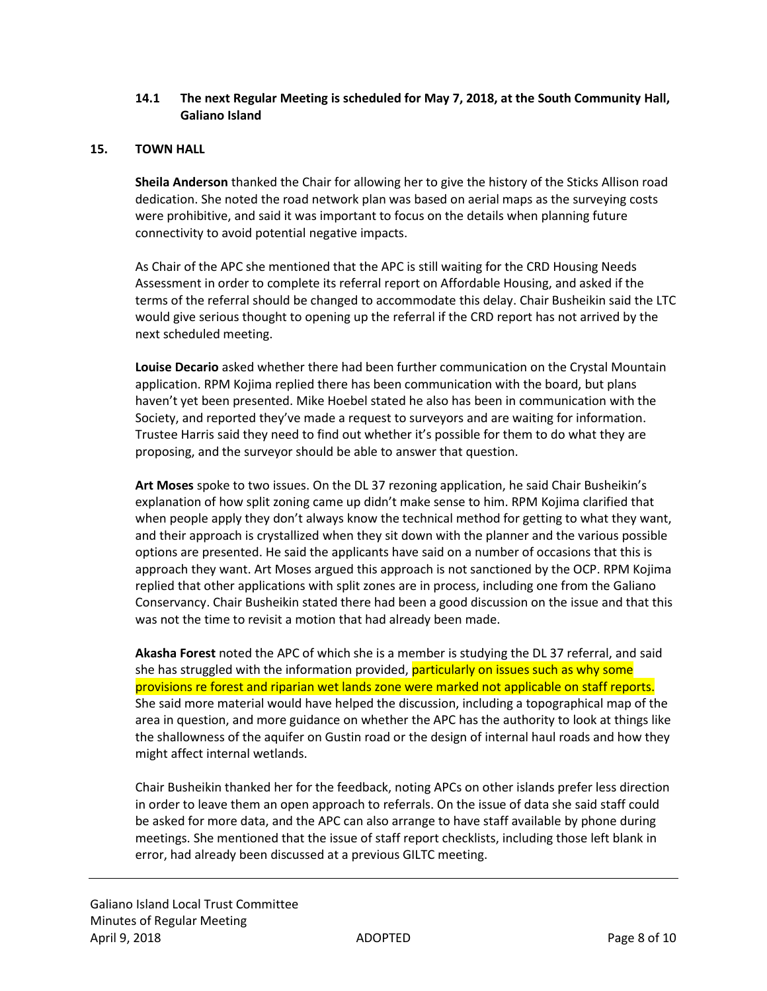# **14.1 The next Regular Meeting is scheduled for May 7, 2018, at the South Community Hall, Galiano Island**

#### **15. TOWN HALL**

**Sheila Anderson** thanked the Chair for allowing her to give the history of the Sticks Allison road dedication. She noted the road network plan was based on aerial maps as the surveying costs were prohibitive, and said it was important to focus on the details when planning future connectivity to avoid potential negative impacts.

As Chair of the APC she mentioned that the APC is still waiting for the CRD Housing Needs Assessment in order to complete its referral report on Affordable Housing, and asked if the terms of the referral should be changed to accommodate this delay. Chair Busheikin said the LTC would give serious thought to opening up the referral if the CRD report has not arrived by the next scheduled meeting.

**Louise Decario** asked whether there had been further communication on the Crystal Mountain application. RPM Kojima replied there has been communication with the board, but plans haven't yet been presented. Mike Hoebel stated he also has been in communication with the Society, and reported they've made a request to surveyors and are waiting for information. Trustee Harris said they need to find out whether it's possible for them to do what they are proposing, and the surveyor should be able to answer that question.

**Art Moses** spoke to two issues. On the DL 37 rezoning application, he said Chair Busheikin's explanation of how split zoning came up didn't make sense to him. RPM Kojima clarified that when people apply they don't always know the technical method for getting to what they want, and their approach is crystallized when they sit down with the planner and the various possible options are presented. He said the applicants have said on a number of occasions that this is approach they want. Art Moses argued this approach is not sanctioned by the OCP. RPM Kojima replied that other applications with split zones are in process, including one from the Galiano Conservancy. Chair Busheikin stated there had been a good discussion on the issue and that this was not the time to revisit a motion that had already been made.

**Akasha Forest** noted the APC of which she is a member is studying the DL 37 referral, and said she has struggled with the information provided, particularly on issues such as why some provisions re forest and riparian wet lands zone were marked not applicable on staff reports. She said more material would have helped the discussion, including a topographical map of the area in question, and more guidance on whether the APC has the authority to look at things like the shallowness of the aquifer on Gustin road or the design of internal haul roads and how they might affect internal wetlands.

Chair Busheikin thanked her for the feedback, noting APCs on other islands prefer less direction in order to leave them an open approach to referrals. On the issue of data she said staff could be asked for more data, and the APC can also arrange to have staff available by phone during meetings. She mentioned that the issue of staff report checklists, including those left blank in error, had already been discussed at a previous GILTC meeting.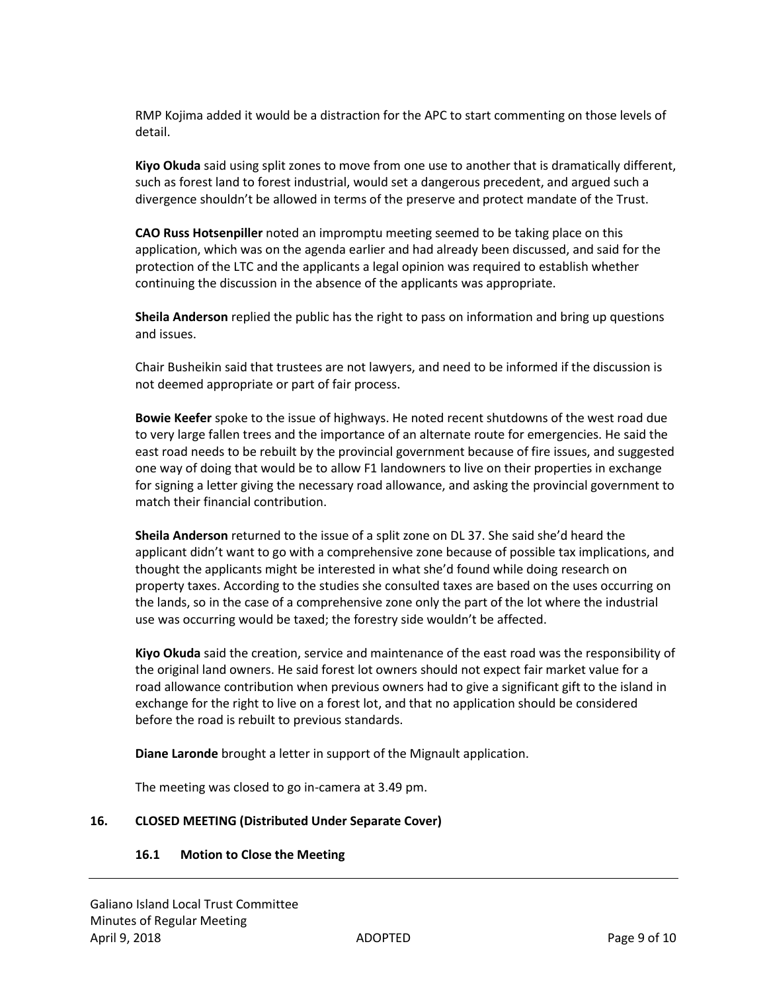RMP Kojima added it would be a distraction for the APC to start commenting on those levels of detail.

**Kiyo Okuda** said using split zones to move from one use to another that is dramatically different, such as forest land to forest industrial, would set a dangerous precedent, and argued such a divergence shouldn't be allowed in terms of the preserve and protect mandate of the Trust.

**CAO Russ Hotsenpiller** noted an impromptu meeting seemed to be taking place on this application, which was on the agenda earlier and had already been discussed, and said for the protection of the LTC and the applicants a legal opinion was required to establish whether continuing the discussion in the absence of the applicants was appropriate.

**Sheila Anderson** replied the public has the right to pass on information and bring up questions and issues.

Chair Busheikin said that trustees are not lawyers, and need to be informed if the discussion is not deemed appropriate or part of fair process.

**Bowie Keefer** spoke to the issue of highways. He noted recent shutdowns of the west road due to very large fallen trees and the importance of an alternate route for emergencies. He said the east road needs to be rebuilt by the provincial government because of fire issues, and suggested one way of doing that would be to allow F1 landowners to live on their properties in exchange for signing a letter giving the necessary road allowance, and asking the provincial government to match their financial contribution.

**Sheila Anderson** returned to the issue of a split zone on DL 37. She said she'd heard the applicant didn't want to go with a comprehensive zone because of possible tax implications, and thought the applicants might be interested in what she'd found while doing research on property taxes. According to the studies she consulted taxes are based on the uses occurring on the lands, so in the case of a comprehensive zone only the part of the lot where the industrial use was occurring would be taxed; the forestry side wouldn't be affected.

**Kiyo Okuda** said the creation, service and maintenance of the east road was the responsibility of the original land owners. He said forest lot owners should not expect fair market value for a road allowance contribution when previous owners had to give a significant gift to the island in exchange for the right to live on a forest lot, and that no application should be considered before the road is rebuilt to previous standards.

**Diane Laronde** brought a letter in support of the Mignault application.

The meeting was closed to go in-camera at 3.49 pm.

# **16. CLOSED MEETING (Distributed Under Separate Cover)**

# **16.1 Motion to Close the Meeting**